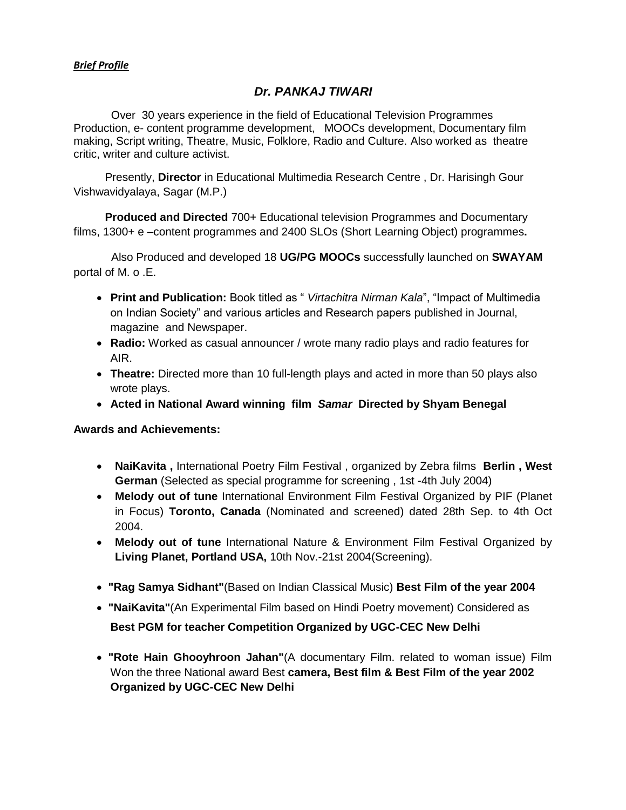#### *Brief Profile*

# *Dr. PANKAJ TIWARI*

 Over 30 years experience in the field of Educational Television Programmes Production, e- content programme development, MOOCs development, Documentary film making, Script writing, Theatre, Music, Folklore, Radio and Culture. Also worked as theatre critic, writer and culture activist.

 Presently, **Director** in Educational Multimedia Research Centre , Dr. Harisingh Gour Vishwavidyalaya, Sagar (M.P.)

 **Produced and Directed** 700+ Educational television Programmes and Documentary films, 1300+ e –content programmes and 2400 SLOs (Short Learning Object) programmes**.** 

Also Produced and developed 18 **UG/PG MOOCs** successfully launched on **SWAYAM** portal of M. o .E.

- **Print and Publication:** Book titled as " *Virtachitra Nirman Kala*", "Impact of Multimedia on Indian Society" and various articles and Research papers published in Journal, magazine and Newspaper.
- **Radio:** Worked as casual announcer / wrote many radio plays and radio features for AIR.
- **Theatre:** Directed more than 10 full-length plays and acted in more than 50 plays also wrote plays.
- **Acted in National Award winning film** *Samar* **Directed by Shyam Benegal**

#### **Awards and Achievements:**

- **NaiKavita ,** International Poetry Film Festival , organized by Zebra films **Berlin , West German** (Selected as special programme for screening , 1st -4th July 2004)
- **Melody out of tune** International Environment Film Festival Organized by PIF (Planet in Focus) **Toronto, Canada** (Nominated and screened) dated 28th Sep. to 4th Oct 2004.
- **Melody out of tune** International Nature & Environment Film Festival Organized by **Living Planet, Portland USA,** 10th Nov.-21st 2004(Screening).
- **"Rag Samya Sidhant"**(Based on Indian Classical Music) **Best Film of the year 2004**
- **"NaiKavita"**(An Experimental Film based on Hindi Poetry movement) Considered as **Best PGM for teacher Competition Organized by UGC-CEC New Delhi**
- **"Rote Hain Ghooyhroon Jahan"**(A documentary Film. related to woman issue) Film Won the three National award Best **camera, Best film & Best Film of the year 2002 Organized by UGC-CEC New Delhi**